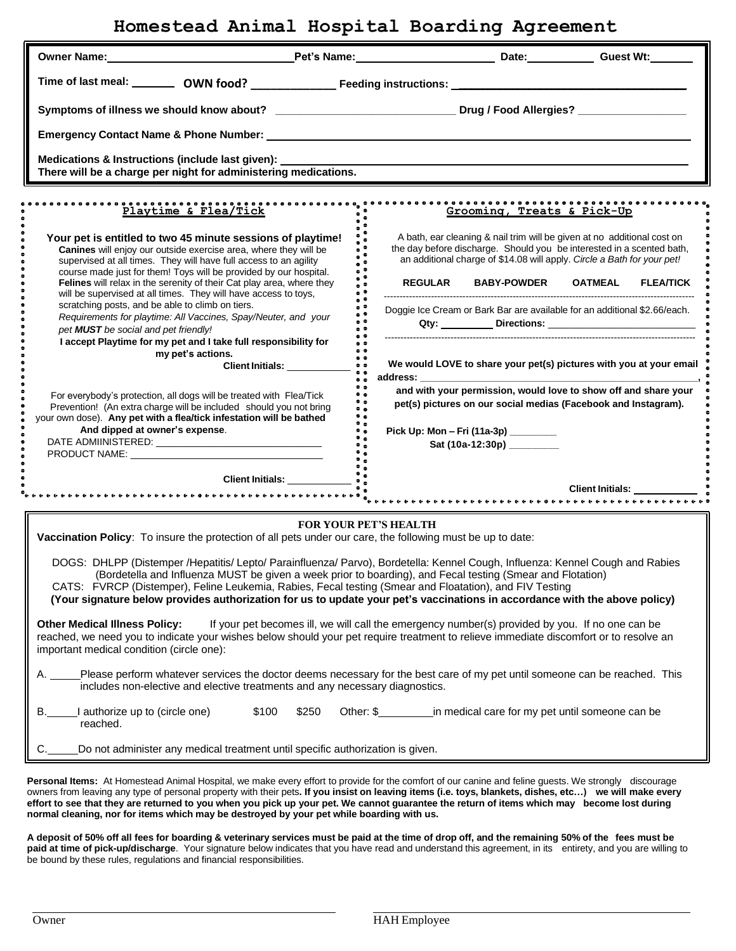## **Homestead Animal Hospital Boarding Agreement**

| Owner Name: Guest Wt:                                                                                                                                                                                                                                                                                                                                                                                                                                                                |                                                                                          |                                      |                           |                                                                                                                                                                                                                             |
|--------------------------------------------------------------------------------------------------------------------------------------------------------------------------------------------------------------------------------------------------------------------------------------------------------------------------------------------------------------------------------------------------------------------------------------------------------------------------------------|------------------------------------------------------------------------------------------|--------------------------------------|---------------------------|-----------------------------------------------------------------------------------------------------------------------------------------------------------------------------------------------------------------------------|
|                                                                                                                                                                                                                                                                                                                                                                                                                                                                                      |                                                                                          |                                      |                           |                                                                                                                                                                                                                             |
| Symptoms of illness we should know about? ________________________________Drug / Food Allergies? ___________________                                                                                                                                                                                                                                                                                                                                                                 |                                                                                          |                                      |                           |                                                                                                                                                                                                                             |
|                                                                                                                                                                                                                                                                                                                                                                                                                                                                                      |                                                                                          |                                      |                           |                                                                                                                                                                                                                             |
| Medications & Instructions (include last given):<br>There will be a charge per night for administering medications.                                                                                                                                                                                                                                                                                                                                                                  |                                                                                          |                                      |                           |                                                                                                                                                                                                                             |
| Playtime & Flea/Tick                                                                                                                                                                                                                                                                                                                                                                                                                                                                 |                                                                                          |                                      |                           | Grooming, Treats & Pick-Up                                                                                                                                                                                                  |
| Your pet is entitled to two 45 minute sessions of playtime!<br>Canines will enjoy our outside exercise area, where they will be<br>supervised at all times. They will have full access to an agility                                                                                                                                                                                                                                                                                 | ٠                                                                                        |                                      |                           | A bath, ear cleaning & nail trim will be given at no additional cost on<br>the day before discharge. Should you be interested in a scented bath,<br>an additional charge of \$14.08 will apply. Circle a Bath for your pet! |
| course made just for them! Toys will be provided by our hospital.<br>Felines will relax in the serenity of their Cat play area, where they<br>will be supervised at all times. They will have access to toys,                                                                                                                                                                                                                                                                        |                                                                                          | <b>REGULAR</b>                       | <b>BABY-POWDER</b>        | <b>OATMEAL</b><br><b>FLEA/TICK</b>                                                                                                                                                                                          |
| scratching posts, and be able to climb on tiers.<br>Requirements for playtime: All Vaccines, Spay/Neuter, and your<br>pet MUST be social and pet friendly!                                                                                                                                                                                                                                                                                                                           | $\bullet$ $\bullet$                                                                      |                                      |                           | Doggie Ice Cream or Bark Bar are available for an additional \$2.66/each.                                                                                                                                                   |
| I accept Playtime for my pet and I take full responsibility for<br>my pet's actions.                                                                                                                                                                                                                                                                                                                                                                                                 | $\bullet$ $\bullet$<br>$\bullet$ $\bullet$<br>$\bullet$ $\bullet$<br>$\bullet$ $\bullet$ |                                      |                           | We would LOVE to share your pet(s) pictures with you at your email                                                                                                                                                          |
| For everybody's protection, all dogs will be treated with Flea/Tick<br>Prevention! (An extra charge will be included should you not bring<br>your own dose). Any pet with a flea/tick infestation will be bathed                                                                                                                                                                                                                                                                     | $\bullet$ $\bullet$<br>۰.<br>۰.<br>۰.<br>ه ¢<br>ہ ●                                      |                                      |                           | and with your permission, would love to show off and share your<br>pet(s) pictures on our social medias (Facebook and Instagram).                                                                                           |
| And dipped at owner's expense.                                                                                                                                                                                                                                                                                                                                                                                                                                                       |                                                                                          | Pick Up: Mon - Fri (11a-3p) ________ | Sat (10a-12:30p) ________ |                                                                                                                                                                                                                             |
|                                                                                                                                                                                                                                                                                                                                                                                                                                                                                      |                                                                                          |                                      |                           |                                                                                                                                                                                                                             |
|                                                                                                                                                                                                                                                                                                                                                                                                                                                                                      |                                                                                          |                                      |                           |                                                                                                                                                                                                                             |
| <b>FOR YOUR PET'S HEALTH</b><br>Vaccination Policy: To insure the protection of all pets under our care, the following must be up to date:                                                                                                                                                                                                                                                                                                                                           |                                                                                          |                                      |                           |                                                                                                                                                                                                                             |
| DOGS: DHLPP (Distemper /Hepatitis/ Lepto/ Parainfluenza/ Parvo), Bordetella: Kennel Cough, Influenza: Kennel Cough and Rabies<br>(Bordetella and Influenza MUST be given a week prior to boarding), and Fecal testing (Smear and Flotation)<br>CATS: FVRCP (Distemper), Feline Leukemia, Rabies, Fecal testing (Smear and Floatation), and FIV Testing<br>(Your signature below provides authorization for us to update your pet's vaccinations in accordance with the above policy) |                                                                                          |                                      |                           |                                                                                                                                                                                                                             |
| <b>Other Medical Illness Policy:</b><br>If your pet becomes ill, we will call the emergency number(s) provided by you. If no one can be<br>reached, we need you to indicate your wishes below should your pet require treatment to relieve immediate discomfort or to resolve an<br>important medical condition (circle one):                                                                                                                                                        |                                                                                          |                                      |                           |                                                                                                                                                                                                                             |
| Please perform whatever services the doctor deems necessary for the best care of my pet until someone can be reached. This<br>includes non-elective and elective treatments and any necessary diagnostics.                                                                                                                                                                                                                                                                           |                                                                                          |                                      |                           |                                                                                                                                                                                                                             |
| authorize up to (circle one)<br>\$100<br>В.<br>reached.                                                                                                                                                                                                                                                                                                                                                                                                                              | \$250                                                                                    |                                      |                           |                                                                                                                                                                                                                             |
| Do not administer any medical treatment until specific authorization is given.                                                                                                                                                                                                                                                                                                                                                                                                       |                                                                                          |                                      |                           |                                                                                                                                                                                                                             |

Personal Items: At Homestead Animal Hospital, we make every effort to provide for the comfort of our canine and feline guests. We strongly discourage owners from leaving any type of personal property with their pets. If you insist on leaving items (i.e. toys, blankets, dishes, etc...) we will make every effort to see that they are returned to you when you pick up your pet. We cannot guarantee the return of items which may become lost during **normal cleaning, nor for items which may be destroyed by your pet while boarding with us.**

A deposit of 50% off all fees for boarding & veterinary services must be paid at the time of drop off, and the remaining 50% of the fees must be **paid at time of pick-up/discharge**. Your signature below indicates that you have read and understand this agreement, in its entirety, and you are willing to be bound by these rules, regulations and financial responsibilities.